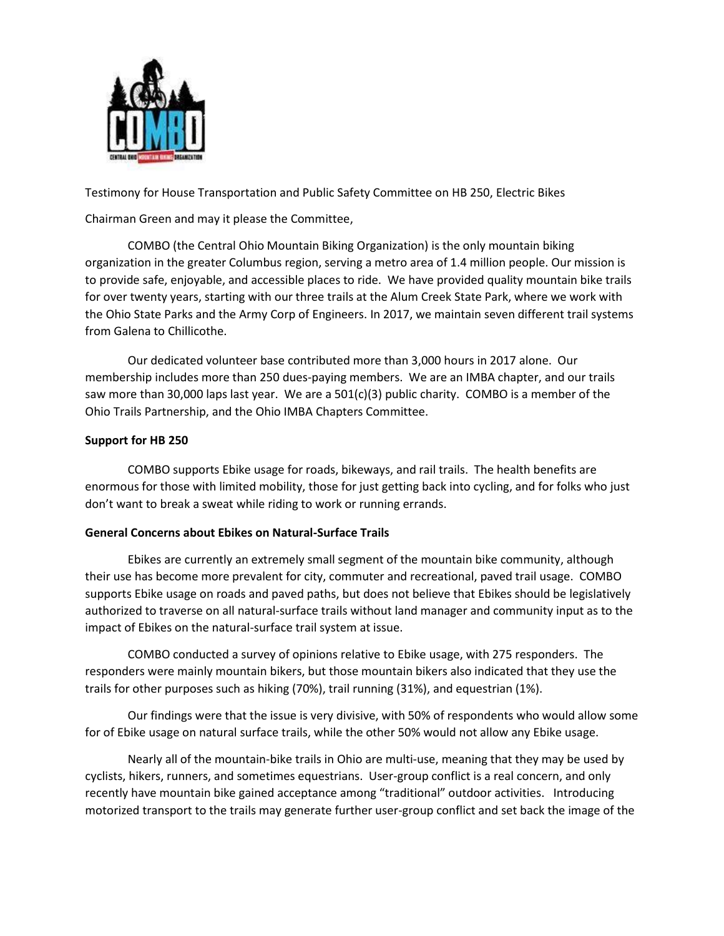

Testimony for House Transportation and Public Safety Committee on HB 250, Electric Bikes

Chairman Green and may it please the Committee,

COMBO (the Central Ohio Mountain Biking Organization) is the only mountain biking organization in the greater Columbus region, serving a metro area of 1.4 million people. Our mission is to provide safe, enjoyable, and accessible places to ride. We have provided quality mountain bike trails for over twenty years, starting with our three trails at the Alum Creek State Park, where we work with the Ohio State Parks and the Army Corp of Engineers. In 2017, we maintain seven different trail systems from Galena to Chillicothe.

Our dedicated volunteer base contributed more than 3,000 hours in 2017 alone. Our membership includes more than 250 dues-paying members. We are an IMBA chapter, and our trails saw more than 30,000 laps last year. We are a  $501(c)(3)$  public charity. COMBO is a member of the Ohio Trails Partnership, and the Ohio IMBA Chapters Committee.

## **Support for HB 250**

COMBO supports Ebike usage for roads, bikeways, and rail trails. The health benefits are enormous for those with limited mobility, those for just getting back into cycling, and for folks who just don't want to break a sweat while riding to work or running errands.

## **General Concerns about Ebikes on Natural-Surface Trails**

Ebikes are currently an extremely small segment of the mountain bike community, although their use has become more prevalent for city, commuter and recreational, paved trail usage. COMBO supports Ebike usage on roads and paved paths, but does not believe that Ebikes should be legislatively authorized to traverse on all natural-surface trails without land manager and community input as to the impact of Ebikes on the natural-surface trail system at issue.

COMBO conducted a survey of opinions relative to Ebike usage, with 275 responders. The responders were mainly mountain bikers, but those mountain bikers also indicated that they use the trails for other purposes such as hiking (70%), trail running (31%), and equestrian (1%).

Our findings were that the issue is very divisive, with 50% of respondents who would allow some for of Ebike usage on natural surface trails, while the other 50% would not allow any Ebike usage.

Nearly all of the mountain-bike trails in Ohio are multi-use, meaning that they may be used by cyclists, hikers, runners, and sometimes equestrians. User-group conflict is a real concern, and only recently have mountain bike gained acceptance among "traditional" outdoor activities. Introducing motorized transport to the trails may generate further user-group conflict and set back the image of the